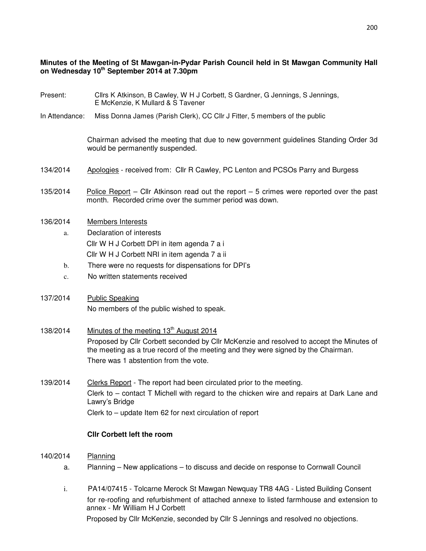## **Minutes of the Meeting of St Mawgan-in-Pydar Parish Council held in St Mawgan Community Hall on Wednesday 10th September 2014 at 7.30pm**

- Present: Cllrs K Atkinson, B Cawley, W H J Corbett, S Gardner, G Jennings, S Jennings, E McKenzie, K Mullard & S Tavener
- In Attendance: Miss Donna James (Parish Clerk), CC Cllr J Fitter, 5 members of the public

 Chairman advised the meeting that due to new government guidelines Standing Order 3d would be permanently suspended.

- 134/2014 Apologies received from: Cllr R Cawley, PC Lenton and PCSOs Parry and Burgess
- 135/2014 Police Report Cllr Atkinson read out the report 5 crimes were reported over the past month. Recorded crime over the summer period was down.
- 136/2014 Members Interests
	- a. Declaration of interests Cllr W H J Corbett DPI in item agenda 7 a i Cllr W H J Corbett NRI in item agenda 7 a ii
	- b. There were no requests for dispensations for DPI's
	- c. No written statements received
- 137/2014 Public Speaking No members of the public wished to speak.
- 138/2014 Minutes of the meeting 13<sup>th</sup> August 2014 Proposed by Cllr Corbett seconded by Cllr McKenzie and resolved to accept the Minutes of the meeting as a true record of the meeting and they were signed by the Chairman. There was 1 abstention from the vote.
- 139/2014 Clerks Report The report had been circulated prior to the meeting. Clerk to – contact T Michell with regard to the chicken wire and repairs at Dark Lane and Lawry's Bridge Clerk to – update Item 62 for next circulation of report

#### **Cllr Corbett left the room**

- 140/2014 Planning
	- a.Planning New applications to discuss and decide on response to Cornwall Council
	- i. PA14/07415 Tolcarne Merock St Mawgan Newquay TR8 4AG Listed Building Consent for re-roofing and refurbishment of attached annexe to listed farmhouse and extension to annex - Mr William H J Corbett Proposed by Cllr McKenzie, seconded by Cllr S Jennings and resolved no objections.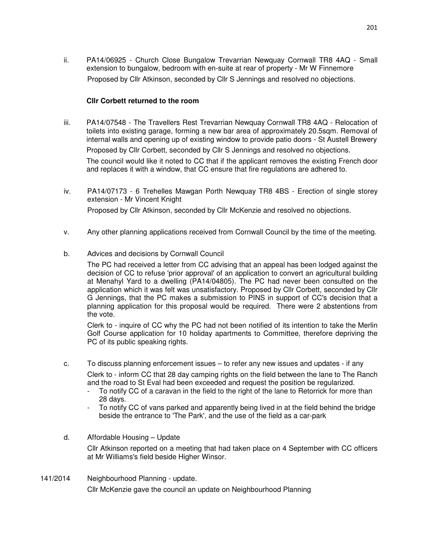ii. PA14/06925 - Church Close Bungalow Trevarrian Newquay Cornwall TR8 4AQ - Small extension to bungalow, bedroom with en-suite at rear of property - Mr W Finnemore Proposed by Cllr Atkinson, seconded by Cllr S Jennings and resolved no objections.

## **Cllr Corbett returned to the room**

- iii. PA14/07548 The Travellers Rest Trevarrian Newquay Cornwall TR8 4AQ Relocation of toilets into existing garage, forming a new bar area of approximately 20.5sqm. Removal of internal walls and opening up of existing window to provide patio doors - St Austell Brewery Proposed by Cllr Corbett, seconded by Cllr S Jennings and resolved no objections. The council would like it noted to CC that if the applicant removes the existing French door and replaces it with a window, that CC ensure that fire regulations are adhered to.
- iv. PA14/07173 6 Trehelles Mawgan Porth Newquay TR8 4BS Erection of single storey extension - Mr Vincent Knight Proposed by Cllr Atkinson, seconded by Cllr McKenzie and resolved no objections.
- v. Any other planning applications received from Cornwall Council by the time of the meeting.
- b. Advices and decisions by Cornwall Council

The PC had received a letter from CC advising that an appeal has been lodged against the decision of CC to refuse 'prior approval' of an application to convert an agricultural building at Menahyl Yard to a dwelling (PA14/04805). The PC had never been consulted on the application which it was felt was unsatisfactory. Proposed by Cllr Corbett, seconded by Cllr G Jennings, that the PC makes a submission to PINS in support of CC's decision that a planning application for this proposal would be required. There were 2 abstentions from the vote.

Clerk to - inquire of CC why the PC had not been notified of its intention to take the Merlin Golf Course application for 10 holiday apartments to Committee, therefore depriving the PC of its public speaking rights.

- c. To discuss planning enforcement issues to refer any new issues and updates if any Clerk to - inform CC that 28 day camping rights on the field between the lane to The Ranch and the road to St Eval had been exceeded and request the position be regularized.
	- To notify CC of a caravan in the field to the right of the lane to Retorrick for more than 28 days.
	- To notify CC of vans parked and apparently being lived in at the field behind the bridge beside the entrance to 'The Park', and the use of the field as a car-park
- d. Affordable Housing Update

Cllr Atkinson reported on a meeting that had taken place on 4 September with CC officers at Mr Williams's field beside Higher Winsor.

141/2014 Neighbourhood Planning - update. Cllr McKenzie gave the council an update on Neighbourhood Planning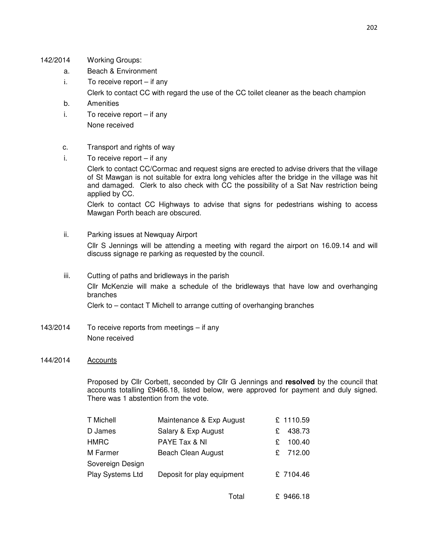- 142/2014 Working Groups:
	- a. Beach & Environment
	- i. To receive report if any Clerk to contact CC with regard the use of the CC toilet cleaner as the beach champion
	- b. Amenities
	- i. To receive report if any None received
	- c. Transport and rights of way
	- i. To receive report if any

Clerk to contact CC/Cormac and request signs are erected to advise drivers that the village of St Mawgan is not suitable for extra long vehicles after the bridge in the village was hit and damaged. Clerk to also check with CC the possibility of a Sat Nav restriction being applied by CC.

Clerk to contact CC Highways to advise that signs for pedestrians wishing to access Mawgan Porth beach are obscured.

ii. Parking issues at Newquay Airport

Cllr S Jennings will be attending a meeting with regard the airport on 16.09.14 and will discuss signage re parking as requested by the council.

- iii. Cutting of paths and bridleways in the parish Cllr McKenzie will make a schedule of the bridleways that have low and overhanging branches Clerk to – contact T Michell to arrange cutting of overhanging branches
- 143/2014 To receive reports from meetings if any None received

#### 144/2014 Accounts

Proposed by Cllr Corbett, seconded by Cllr G Jennings and **resolved** by the council that accounts totalling £9466.18, listed below, were approved for payment and duly signed. There was 1 abstention from the vote.

| T Michell        | Maintenance & Exp August   | £ 1110.59    |
|------------------|----------------------------|--------------|
| D James          | Salary & Exp August        | 438.73<br>£. |
| HMRC             | PAYE Tax & NI              | 100.40<br>£  |
| M Farmer         | Beach Clean August         | £ 712.00     |
| Sovereign Design |                            |              |
| Play Systems Ltd | Deposit for play equipment | £ 7104.46    |
|                  |                            |              |

| Total | £ 9466.18 |
|-------|-----------|
|       |           |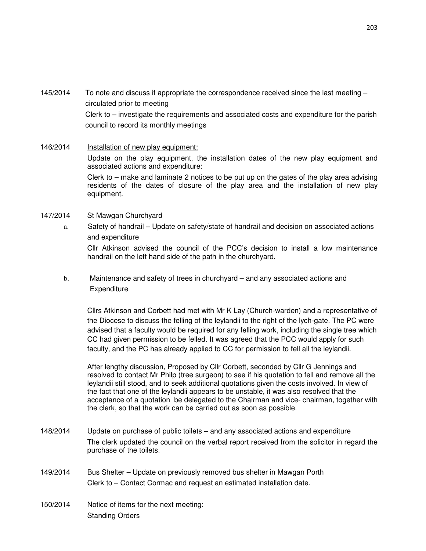- 145/2014 To note and discuss if appropriate the correspondence received since the last meeting circulated prior to meeting Clerk to – investigate the requirements and associated costs and expenditure for the parish council to record its monthly meetings
- 146/2014 Installation of new play equipment: Update on the play equipment, the installation dates of the new play equipment and associated actions and expenditure: Clerk to – make and laminate 2 notices to be put up on the gates of the play area advising residents of the dates of closure of the play area and the installation of new play equipment.
- 147/2014 St Mawgan Churchyard
	- a. Safety of handrail Update on safety/state of handrail and decision on associated actions and expenditure Cllr Atkinson advised the council of the PCC's decision to install a low maintenance handrail on the left hand side of the path in the churchyard.
	- b. Maintenance and safety of trees in churchyard and any associated actions and **Expenditure**

Cllrs Atkinson and Corbett had met with Mr K Lay (Church-warden) and a representative of the Diocese to discuss the felling of the leylandii to the right of the lych-gate. The PC were advised that a faculty would be required for any felling work, including the single tree which CC had given permission to be felled. It was agreed that the PCC would apply for such faculty, and the PC has already applied to CC for permission to fell all the leylandii.

After lengthy discussion, Proposed by Cllr Corbett, seconded by Cllr G Jennings and resolved to contact Mr Philp (tree surgeon) to see if his quotation to fell and remove all the leylandii still stood, and to seek additional quotations given the costs involved. In view of the fact that one of the leylandii appears to be unstable, it was also resolved that the acceptance of a quotation be delegated to the Chairman and vice- chairman, together with the clerk, so that the work can be carried out as soon as possible.

- 148/2014 Update on purchase of public toilets and any associated actions and expenditure The clerk updated the council on the verbal report received from the solicitor in regard the purchase of the toilets.
- 149/2014 Bus Shelter Update on previously removed bus shelter in Mawgan Porth Clerk to – Contact Cormac and request an estimated installation date.
- 150/2014 Notice of items for the next meeting: Standing Orders